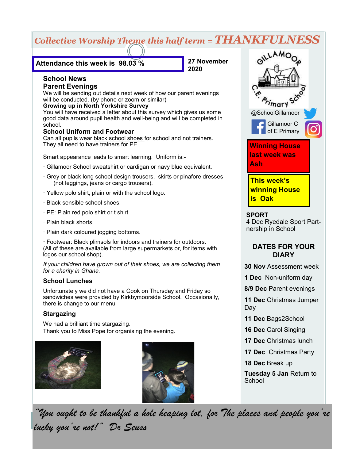# *Collective Worship Theme this half term = THANKFULNESS*

#### **Attendance this week is 98.03 %**

**27 November 2020**

#### **School News Parent Evenings**

We will be sending out details next week of how our parent evenings will be conducted. (by phone or zoom or similar)

#### **Growing up in North Yorkshire Survey**

You will have received a letter about this survey which gives us some good data around pupil health and well-being and will be completed in school.

#### **School Uniform and Footwear**

Can all pupils wear black school shoes for school and not trainers. They all need to have trainers for PE.

Smart appearance leads to smart learning. Uniform is:-

- · Gillamoor School sweatshirt or cardigan or navy blue equivalent.
- · Grey or black long school design trousers, skirts or pinafore dresses (not leggings, jeans or cargo trousers).
- · Yellow polo shirt, plain or with the school logo.
- · Black sensible school shoes.
- · PE: Plain red polo shirt or t shirt
- · Plain black shorts.
- · Plain dark coloured jogging bottoms.

**·** Footwear: Black plimsols for indoors and trainers for outdoors. (All of these are available from large supermarkets or, for items with logos our school shop).

*If your children have grown out of their shoes, we are collecting them for a charity in Ghana.*

#### **School Lunches**

Unfortunately we did not have a Cook on Thursday and Friday so sandwiches were provided by Kirkbymoorside School. Occasionally, there is change to our menu

#### **Stargazing**

We had a brilliant time stargazing. Thank you to Miss Pope for organising the evening.





**LAMO** marY @SchoolGillamoor Gillamoor C of E Primary **Winning House last week was Ash This week's winning House** 

#### **SPORT**

**is Oak**

4 Dec Ryedale Sport Partnership in School

# **DATES FOR YOUR DIARY**

**30 Nov** Assessment week

**1 Dec** Non-uniform day

**8/9 Dec** Parent evenings

**11 Dec** Christmas Jumper Day

**11 Dec** Bags2School

**16 Dec** Carol Singing

**17 Dec** Christmas lunch

**17 Dec** Christmas Party

**18 Dec** Break up

**Tuesday 5 Jan** Return to **School** 

*"You ought to be thankful a hole heaping lot, for The places and people you're lucky you're not!" Dr Seuss*